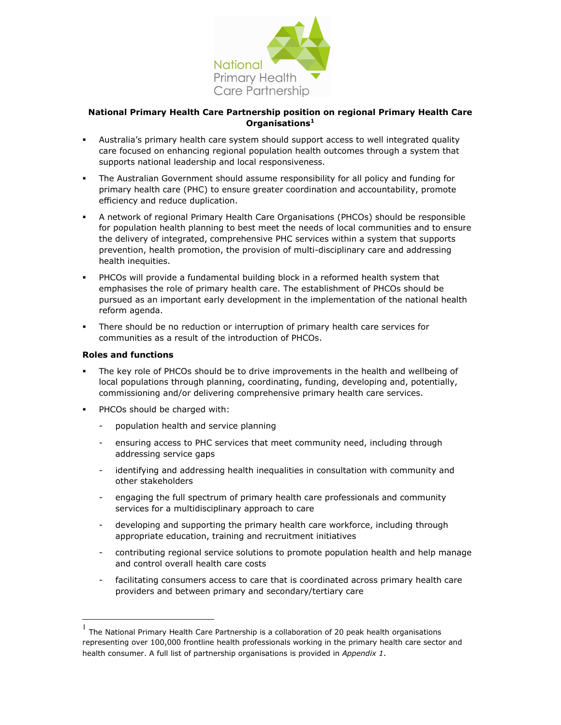

## National Primary Health Care Partnership position on regional Primary Health Care Organisations<sup>1</sup>

- Australia's primary health care system should support access to well integrated quality care focused on enhancing regional population health outcomes through a system that supports national leadership and local responsiveness.
- The Australian Government should assume responsibility for all policy and funding for primary health care (PHC) to ensure greater coordination and accountability, promote efficiency and reduce duplication.
- A network of regional Primary Health Care Organisations (PHCOs) should be responsible for population health planning to best meet the needs of local communities and to ensure the delivery of integrated, comprehensive PHC services within a system that supports prevention, health promotion, the provision of multi-disciplinary care and addressing health inequities.
- PHCOs will provide a fundamental building block in a reformed health system that emphasises the role of primary health care. The establishment of PHCOs should be pursued as an important early development in the implementation of the national health reform agenda.
- There should be no reduction or interruption of primary health care services for communities as a result of the introduction of PHCOs.

## Roles and functions

 $\overline{a}$ 

- The key role of PHCOs should be to drive improvements in the health and wellbeing of local populations through planning, coordinating, funding, developing and, potentially, commissioning and/or delivering comprehensive primary health care services.
- PHCOs should be charged with:
	- population health and service planning
	- ensuring access to PHC services that meet community need, including through addressing service gaps
	- identifying and addressing health inequalities in consultation with community and other stakeholders
	- engaging the full spectrum of primary health care professionals and community services for a multidisciplinary approach to care
	- developing and supporting the primary health care workforce, including through appropriate education, training and recruitment initiatives
	- contributing regional service solutions to promote population health and help manage and control overall health care costs
	- facilitating consumers access to care that is coordinated across primary health care providers and between primary and secondary/tertiary care

<sup>1</sup> The National Primary Health Care Partnership is a collaboration of 20 peak health organisations representing over 100,000 frontline health professionals working in the primary health care sector and health consumer. A full list of partnership organisations is provided in Appendix 1.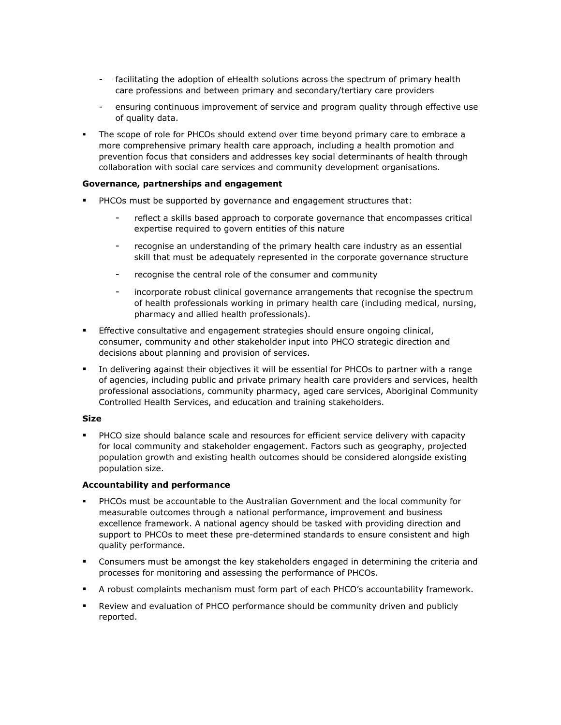- facilitating the adoption of eHealth solutions across the spectrum of primary health care professions and between primary and secondary/tertiary care providers
- ensuring continuous improvement of service and program quality through effective use of quality data.
- The scope of role for PHCOs should extend over time beyond primary care to embrace a more comprehensive primary health care approach, including a health promotion and prevention focus that considers and addresses key social determinants of health through collaboration with social care services and community development organisations.

### Governance, partnerships and engagement

- PHCOs must be supported by governance and engagement structures that:
	- reflect a skills based approach to corporate governance that encompasses critical expertise required to govern entities of this nature
	- recognise an understanding of the primary health care industry as an essential skill that must be adequately represented in the corporate governance structure
	- recognise the central role of the consumer and community
	- incorporate robust clinical governance arrangements that recognise the spectrum of health professionals working in primary health care (including medical, nursing, pharmacy and allied health professionals).
- **Effective consultative and engagement strategies should ensure ongoing clinical,** consumer, community and other stakeholder input into PHCO strategic direction and decisions about planning and provision of services.
- In delivering against their objectives it will be essential for PHCOs to partner with a range of agencies, including public and private primary health care providers and services, health professional associations, community pharmacy, aged care services, Aboriginal Community Controlled Health Services, and education and training stakeholders.

#### Size

 PHCO size should balance scale and resources for efficient service delivery with capacity for local community and stakeholder engagement. Factors such as geography, projected population growth and existing health outcomes should be considered alongside existing population size.

#### Accountability and performance

- PHCOs must be accountable to the Australian Government and the local community for measurable outcomes through a national performance, improvement and business excellence framework. A national agency should be tasked with providing direction and support to PHCOs to meet these pre-determined standards to ensure consistent and high quality performance.
- Consumers must be amongst the key stakeholders engaged in determining the criteria and processes for monitoring and assessing the performance of PHCOs.
- A robust complaints mechanism must form part of each PHCO's accountability framework.
- Review and evaluation of PHCO performance should be community driven and publicly reported.